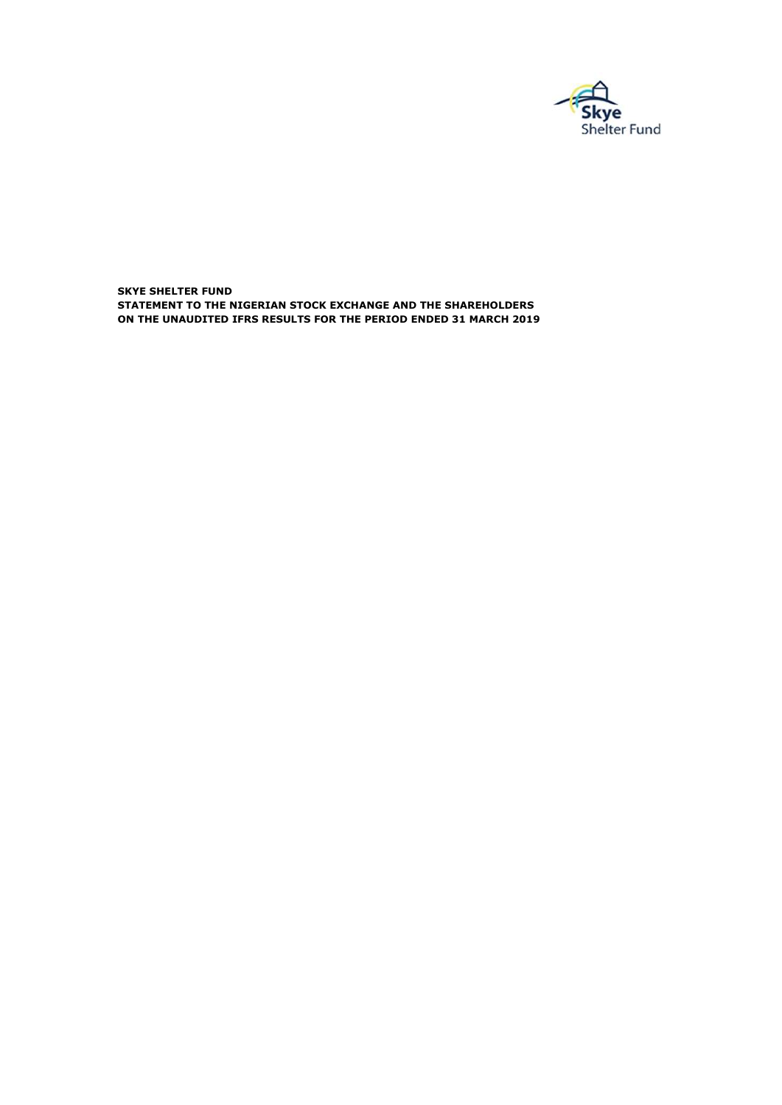

SKYE SHELTER FUND ON THE UNAUDITED IFRS RESULTS FOR THE PERIOD ENDED 31 MARCH 2019 STATEMENT TO THE NIGERIAN STOCK EXCHANGE AND THE SHAREHOLDERS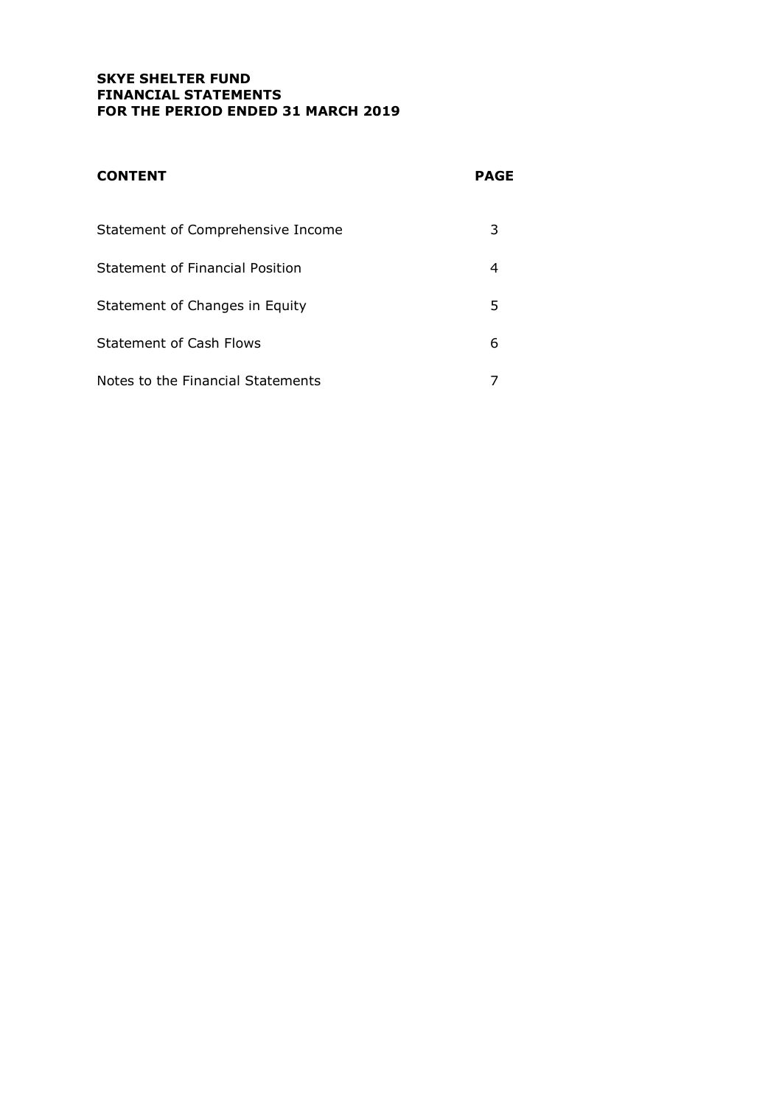# SKYE SHELTER FUND FINANCIAL STATEMENTS FOR THE PERIOD ENDED 31 MARCH 2019

| <b>CONTENT</b>                    | PAGE |
|-----------------------------------|------|
| Statement of Comprehensive Income | 3    |
| Statement of Financial Position   | 4    |
| Statement of Changes in Equity    | 5    |
| <b>Statement of Cash Flows</b>    | 6    |
| Notes to the Financial Statements |      |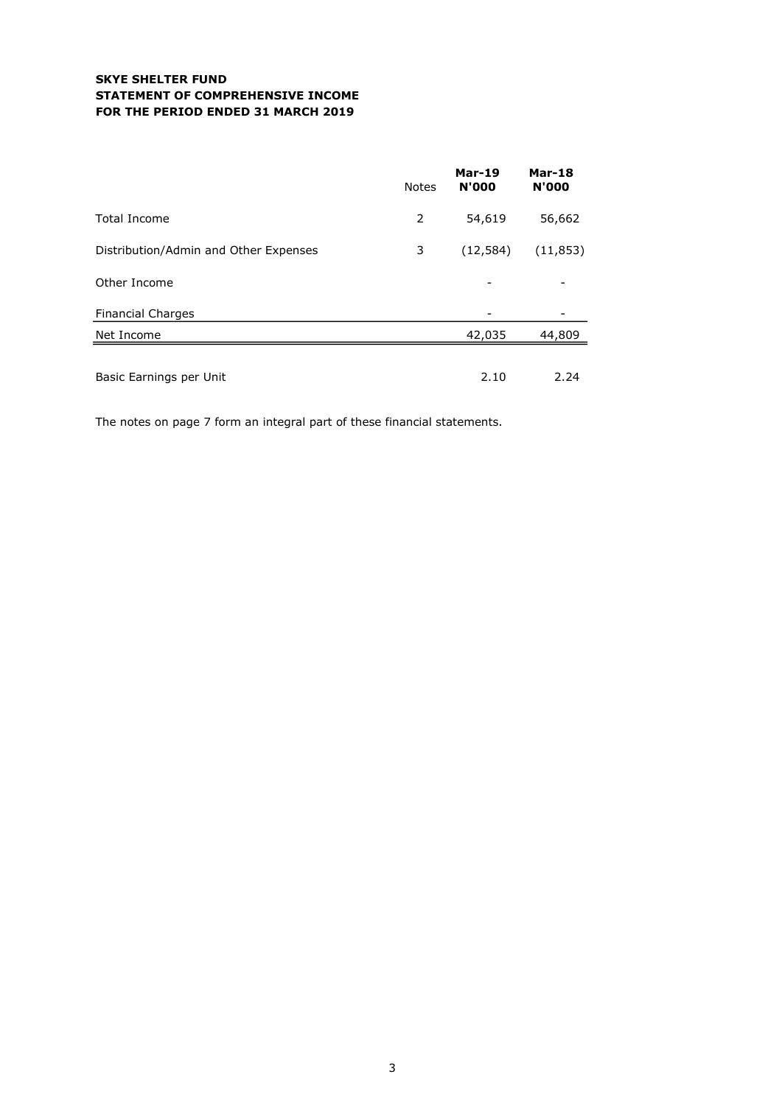## SKYE SHELTER FUND STATEMENT OF COMPREHENSIVE INCOME FOR THE PERIOD ENDED 31 MARCH 2019

|                                       | <b>Notes</b> | <b>Mar-19</b><br><b>N'000</b> | <b>Mar-18</b><br><b>N'000</b> |
|---------------------------------------|--------------|-------------------------------|-------------------------------|
| <b>Total Income</b>                   | 2            | 54,619                        | 56,662                        |
| Distribution/Admin and Other Expenses | 3            | (12, 584)                     | (11, 853)                     |
| Other Income                          |              |                               |                               |
| <b>Financial Charges</b>              |              |                               |                               |
| Net Income                            |              | 42,035                        | 44,809                        |
|                                       |              | 2.10                          | 2.24                          |
| Basic Earnings per Unit               |              |                               |                               |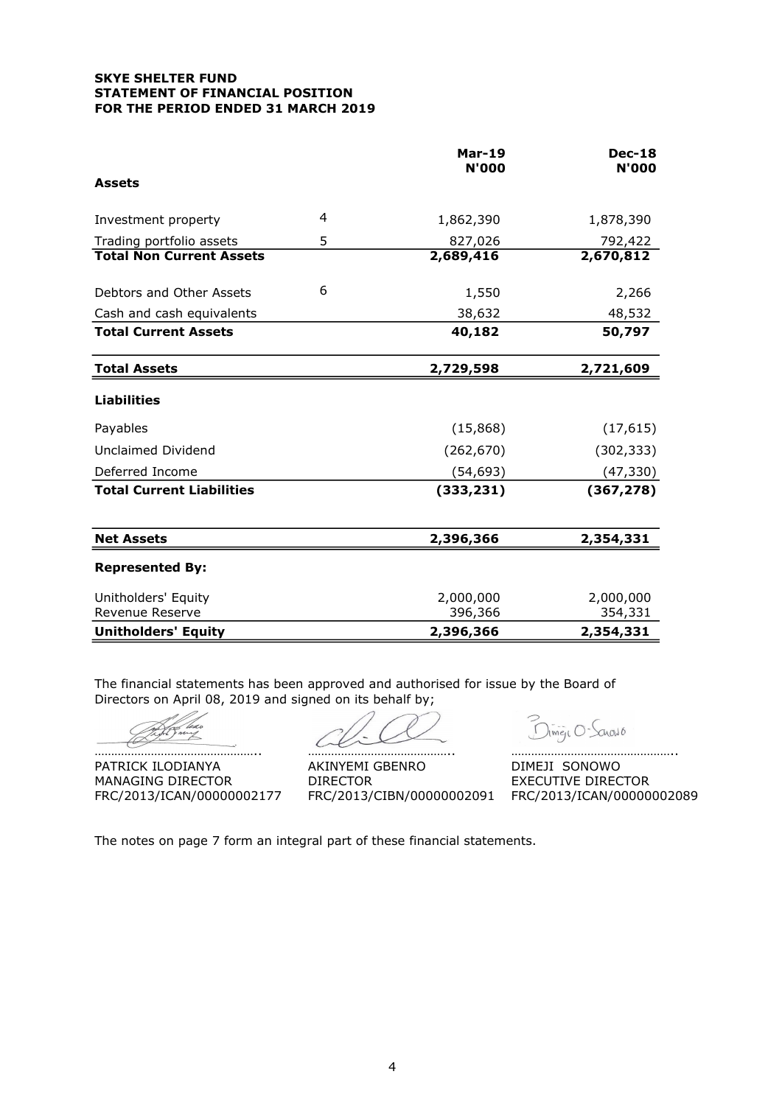### SKYE SHELTER FUND STATEMENT OF FINANCIAL POSITION FOR THE PERIOD ENDED 31 MARCH 2019

|                                        |   | <b>Mar-19</b><br><b>N'000</b> | <b>Dec-18</b><br><b>N'000</b> |
|----------------------------------------|---|-------------------------------|-------------------------------|
| <b>Assets</b>                          |   |                               |                               |
| Investment property                    | 4 | 1,862,390                     | 1,878,390                     |
| Trading portfolio assets               | 5 | 827,026                       | 792,422                       |
| <b>Total Non Current Assets</b>        |   | 2,689,416                     | 2,670,812                     |
| Debtors and Other Assets               | 6 | 1,550                         | 2,266                         |
| Cash and cash equivalents              |   | 38,632                        | 48,532                        |
| <b>Total Current Assets</b>            |   | 40,182                        | 50,797                        |
| <b>Total Assets</b>                    |   | 2,729,598                     | 2,721,609                     |
| <b>Liabilities</b>                     |   |                               |                               |
| Payables                               |   | (15,868)                      | (17, 615)                     |
| Unclaimed Dividend                     |   | (262, 670)                    | (302, 333)                    |
| Deferred Income                        |   | (54, 693)                     | (47, 330)                     |
| <b>Total Current Liabilities</b>       |   | (333, 231)                    | (367, 278)                    |
| <b>Net Assets</b>                      |   | 2,396,366                     | 2,354,331                     |
| <b>Represented By:</b>                 |   |                               |                               |
| Unitholders' Equity<br>Revenue Reserve |   | 2,000,000<br>396,366          | 2,000,000<br>354,331          |
| <b>Unitholders' Equity</b>             |   | 2,396,366                     | 2,354,331                     |

The financial statements has been approved and authorised for issue by the Board of Directors on April 08, 2019 and signed on its behalf by:

Z

PATRICK ILODIANYA AKINYEMI GBENRO DIMEJI SONOWO MANAGING DIRECTOR DIRECTOR DIRECTOR EXECUTIVE DIRECTOR FRC/2013/ICAN/00000002177 FRC/2013/CIBN/00000002091 FRC/2013/ICAN/00000002089

………………………………………….. …………………………………….. …………………………………………..

Dimen O-Sanguio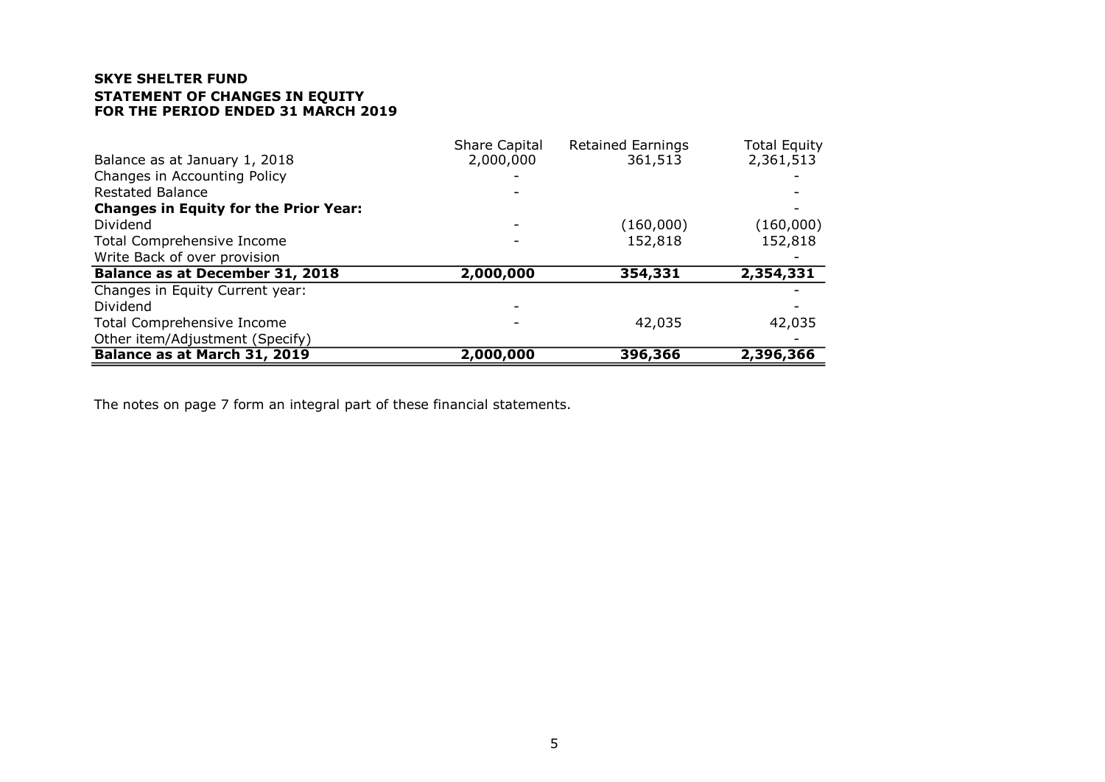# SKYE SHELTER FUND STATEMENT OF CHANGES IN EQUITY FOR THE PERIOD ENDED 31 MARCH 2019

|                                              | Share Capital | <b>Retained Earnings</b> | <b>Total Equity</b> |
|----------------------------------------------|---------------|--------------------------|---------------------|
| Balance as at January 1, 2018                | 2,000,000     | 361,513                  | 2,361,513           |
| Changes in Accounting Policy                 |               |                          |                     |
| <b>Restated Balance</b>                      |               |                          |                     |
| <b>Changes in Equity for the Prior Year:</b> |               |                          |                     |
| Dividend                                     |               | (160,000)                | (160,000)           |
| Total Comprehensive Income                   |               | 152,818                  | 152,818             |
| Write Back of over provision                 |               |                          |                     |
| <b>Balance as at December 31, 2018</b>       | 2,000,000     | 354,331                  | 2,354,331           |
| Changes in Equity Current year:              |               |                          |                     |
| Dividend                                     |               |                          |                     |
| <b>Total Comprehensive Income</b>            |               | 42,035                   | 42,035              |
| Other item/Adjustment (Specify)              |               |                          |                     |
| Balance as at March 31, 2019                 | 2,000,000     | 396,366                  | 2,396,366           |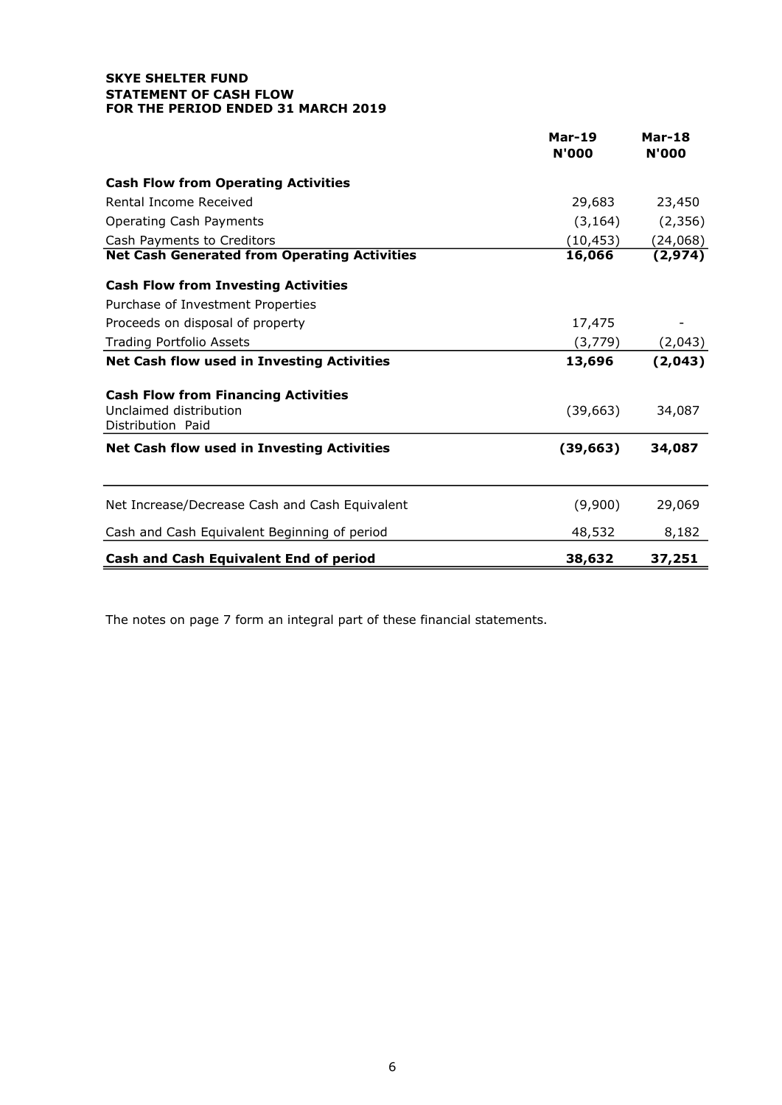### SKYE SHELTER FUND STATEMENT OF CASH FLOW FOR THE PERIOD ENDED 31 MARCH 2019

|                                                                                           | <b>Mar-19</b><br><b>N'000</b> | <b>Mar-18</b><br><b>N'000</b> |
|-------------------------------------------------------------------------------------------|-------------------------------|-------------------------------|
| <b>Cash Flow from Operating Activities</b>                                                |                               |                               |
| Rental Income Received                                                                    | 29,683                        | 23,450                        |
| Operating Cash Payments                                                                   | (3, 164)                      | (2, 356)                      |
| Cash Payments to Creditors                                                                | (10, 453)                     | (24,068)                      |
| <b>Net Cash Generated from Operating Activities</b>                                       | 16,066                        | (2, 974)                      |
| <b>Cash Flow from Investing Activities</b>                                                |                               |                               |
| Purchase of Investment Properties                                                         |                               |                               |
| Proceeds on disposal of property                                                          | 17,475                        |                               |
| <b>Trading Portfolio Assets</b>                                                           | (3,779)                       | (2,043)                       |
| <b>Net Cash flow used in Investing Activities</b>                                         | 13,696                        | (2,043)                       |
| <b>Cash Flow from Financing Activities</b><br>Unclaimed distribution<br>Distribution Paid | (39, 663)                     | 34,087                        |
| Net Cash flow used in Investing Activities                                                | (39, 663)                     | 34,087                        |
| Net Increase/Decrease Cash and Cash Equivalent                                            | (9,900)                       | 29,069                        |
| Cash and Cash Equivalent Beginning of period                                              | 48,532                        | 8,182                         |
| <b>Cash and Cash Equivalent End of period</b>                                             | 38,632                        | 37,251                        |